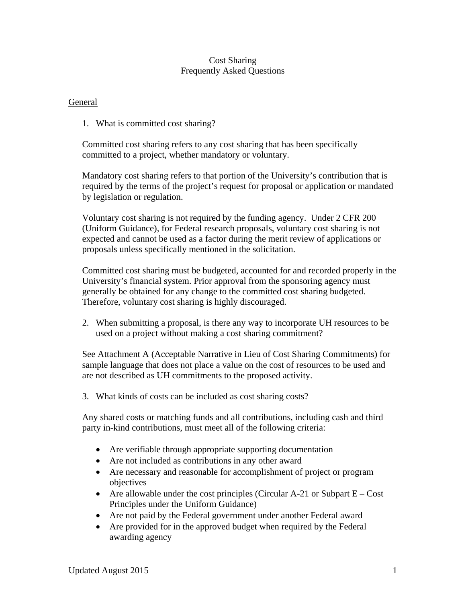## Cost Sharing Frequently Asked Questions

#### General

1. What is committed cost sharing?

Committed cost sharing refers to any cost sharing that has been specifically committed to a project, whether mandatory or voluntary.

Mandatory cost sharing refers to that portion of the University's contribution that is required by the terms of the project's request for proposal or application or mandated by legislation or regulation.

Voluntary cost sharing is not required by the funding agency. Under 2 CFR 200 (Uniform Guidance), for Federal research proposals, voluntary cost sharing is not expected and cannot be used as a factor during the merit review of applications or proposals unless specifically mentioned in the solicitation.

Committed cost sharing must be budgeted, accounted for and recorded properly in the University's financial system. Prior approval from the sponsoring agency must generally be obtained for any change to the committed cost sharing budgeted. Therefore, voluntary cost sharing is highly discouraged.

2. When submitting a proposal, is there any way to incorporate UH resources to be used on a project without making a cost sharing commitment?

See Attachment A (Acceptable Narrative in Lieu of Cost Sharing Commitments) for sample language that does not place a value on the cost of resources to be used and are not described as UH commitments to the proposed activity.

3. What kinds of costs can be included as cost sharing costs?

Any shared costs or matching funds and all contributions, including cash and third party in-kind contributions, must meet all of the following criteria:

- Are verifiable through appropriate supporting documentation
- Are not included as contributions in any other award
- Are necessary and reasonable for accomplishment of project or program objectives
- Are allowable under the cost principles (Circular A-21 or Subpart  $E Cost$ Principles under the Uniform Guidance)
- Are not paid by the Federal government under another Federal award
- Are provided for in the approved budget when required by the Federal awarding agency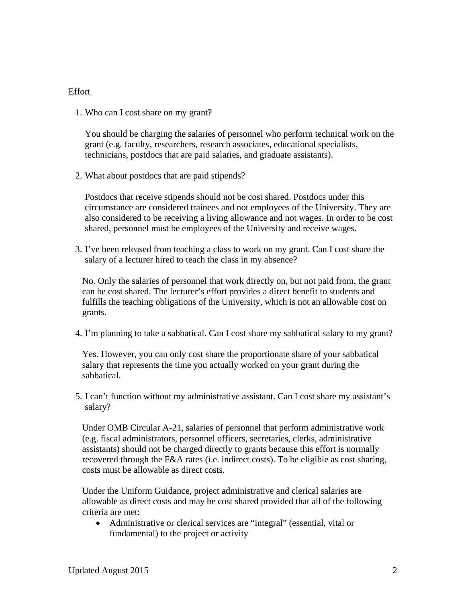## Effort

1. Who can I cost share on my grant?

You should be charging the salaries of personnel who perform technical work on the grant (e.g. faculty, researchers, research associates, educational specialists, technicians, postdocs that are paid salaries, and graduate assistants).

2. What about postdocs that are paid stipends?

Postdocs that receive stipends should not be cost shared. Postdocs under this circumstance are considered trainees and not employees of the University. They are also considered to be receiving a living allowance and not wages. In order to be cost shared, personnel must be employees of the University and receive wages.

3. I've been released from teaching a class to work on my grant. Can I cost share the salary of a lecturer hired to teach the class in my absence?

No. Only the salaries of personnel that work directly on, but not paid from, the grant can be cost shared. The lecturer's effort provides a direct benefit to students and fulfills the teaching obligations of the University, which is not an allowable cost on grants.

4. I'm planning to take a sabbatical. Can I cost share my sabbatical salary to my grant?

Yes. However, you can only cost share the proportionate share of your sabbatical salary that represents the time you actually worked on your grant during the sabbatical.

5. I can't function without my administrative assistant. Can I cost share my assistant's salary?

Under OMB Circular A-21, salaries of personnel that perform administrative work (e.g. fiscal administrators, personnel officers, secretaries, clerks, administrative assistants) should not be charged directly to grants because this effort is normally recovered through the F&A rates (i.e. indirect costs). To be eligible as cost sharing, costs must be allowable as direct costs.

Under the Uniform Guidance, project administrative and clerical salaries are allowable as direct costs and may be cost shared provided that all of the following criteria are met:

 Administrative or clerical services are "integral" (essential, vital or fundamental) to the project or activity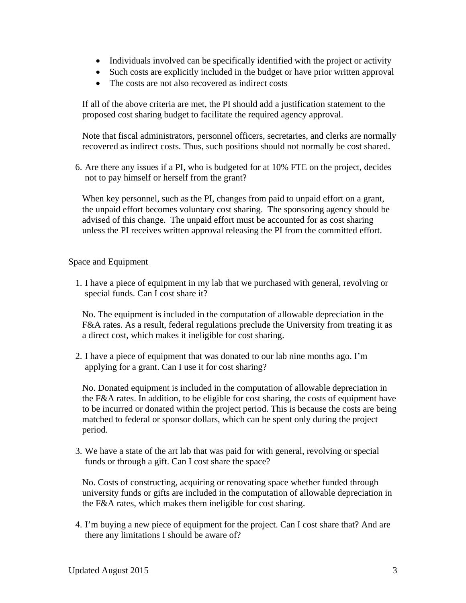- Individuals involved can be specifically identified with the project or activity
- Such costs are explicitly included in the budget or have prior written approval
- The costs are not also recovered as indirect costs

If all of the above criteria are met, the PI should add a justification statement to the proposed cost sharing budget to facilitate the required agency approval.

Note that fiscal administrators, personnel officers, secretaries, and clerks are normally recovered as indirect costs. Thus, such positions should not normally be cost shared.

6. Are there any issues if a PI, who is budgeted for at 10% FTE on the project, decides not to pay himself or herself from the grant?

When key personnel, such as the PI, changes from paid to unpaid effort on a grant, the unpaid effort becomes voluntary cost sharing. The sponsoring agency should be advised of this change. The unpaid effort must be accounted for as cost sharing unless the PI receives written approval releasing the PI from the committed effort.

## Space and Equipment

1. I have a piece of equipment in my lab that we purchased with general, revolving or special funds. Can I cost share it?

No. The equipment is included in the computation of allowable depreciation in the F&A rates. As a result, federal regulations preclude the University from treating it as a direct cost, which makes it ineligible for cost sharing.

2. I have a piece of equipment that was donated to our lab nine months ago. I'm applying for a grant. Can I use it for cost sharing?

No. Donated equipment is included in the computation of allowable depreciation in the F&A rates. In addition, to be eligible for cost sharing, the costs of equipment have to be incurred or donated within the project period. This is because the costs are being matched to federal or sponsor dollars, which can be spent only during the project period.

3. We have a state of the art lab that was paid for with general, revolving or special funds or through a gift. Can I cost share the space?

No. Costs of constructing, acquiring or renovating space whether funded through university funds or gifts are included in the computation of allowable depreciation in the F&A rates, which makes them ineligible for cost sharing.

4. I'm buying a new piece of equipment for the project. Can I cost share that? And are there any limitations I should be aware of?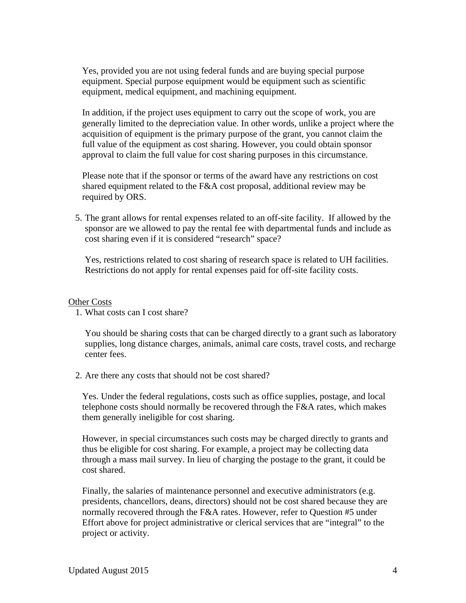Yes, provided you are not using federal funds and are buying special purpose equipment. Special purpose equipment would be equipment such as scientific equipment, medical equipment, and machining equipment.

In addition, if the project uses equipment to carry out the scope of work, you are generally limited to the depreciation value. In other words, unlike a project where the acquisition of equipment is the primary purpose of the grant, you cannot claim the full value of the equipment as cost sharing. However, you could obtain sponsor approval to claim the full value for cost sharing purposes in this circumstance.

Please note that if the sponsor or terms of the award have any restrictions on cost shared equipment related to the F&A cost proposal, additional review may be required by ORS.

5. The grant allows for rental expenses related to an off-site facility. If allowed by the sponsor are we allowed to pay the rental fee with departmental funds and include as cost sharing even if it is considered "research" space?

Yes, restrictions related to cost sharing of research space is related to UH facilities. Restrictions do not apply for rental expenses paid for off-site facility costs.

#### Other Costs

1. What costs can I cost share?

You should be sharing costs that can be charged directly to a grant such as laboratory supplies, long distance charges, animals, animal care costs, travel costs, and recharge center fees.

2. Are there any costs that should not be cost shared?

Yes. Under the federal regulations, costs such as office supplies, postage, and local telephone costs should normally be recovered through the F&A rates, which makes them generally ineligible for cost sharing.

However, in special circumstances such costs may be charged directly to grants and thus be eligible for cost sharing. For example, a project may be collecting data through a mass mail survey. In lieu of charging the postage to the grant, it could be cost shared.

Finally, the salaries of maintenance personnel and executive administrators (e.g. presidents, chancellors, deans, directors) should not be cost shared because they are normally recovered through the F&A rates. However, refer to Question #5 under Effort above for project administrative or clerical services that are "integral" to the project or activity.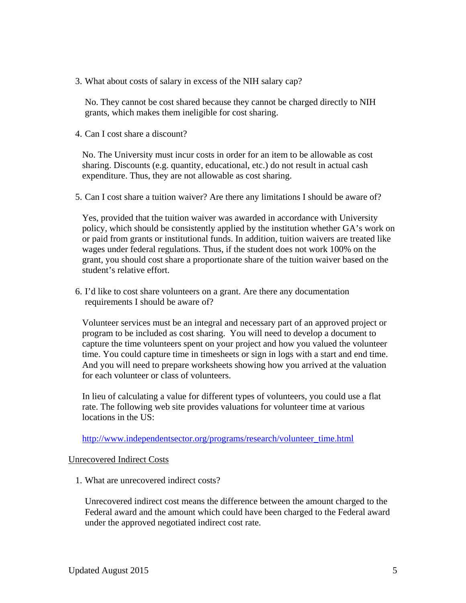3. What about costs of salary in excess of the NIH salary cap?

No. They cannot be cost shared because they cannot be charged directly to NIH grants, which makes them ineligible for cost sharing.

4. Can I cost share a discount?

No. The University must incur costs in order for an item to be allowable as cost sharing. Discounts (e.g. quantity, educational, etc.) do not result in actual cash expenditure. Thus, they are not allowable as cost sharing.

5. Can I cost share a tuition waiver? Are there any limitations I should be aware of?

Yes, provided that the tuition waiver was awarded in accordance with University policy, which should be consistently applied by the institution whether GA's work on or paid from grants or institutional funds. In addition, tuition waivers are treated like wages under federal regulations. Thus, if the student does not work 100% on the grant, you should cost share a proportionate share of the tuition waiver based on the student's relative effort.

6. I'd like to cost share volunteers on a grant. Are there any documentation requirements I should be aware of?

Volunteer services must be an integral and necessary part of an approved project or program to be included as cost sharing. You will need to develop a document to capture the time volunteers spent on your project and how you valued the volunteer time. You could capture time in timesheets or sign in logs with a start and end time. And you will need to prepare worksheets showing how you arrived at the valuation for each volunteer or class of volunteers.

In lieu of calculating a value for different types of volunteers, you could use a flat rate. The following web site provides valuations for volunteer time at various locations in the US:

http://www.independentsector.org/programs/research/volunteer\_time.html

### Unrecovered Indirect Costs

1. What are unrecovered indirect costs?

Unrecovered indirect cost means the difference between the amount charged to the Federal award and the amount which could have been charged to the Federal award under the approved negotiated indirect cost rate.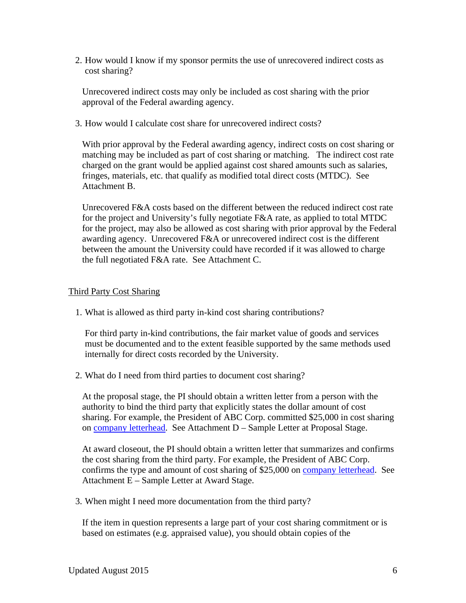2. How would I know if my sponsor permits the use of unrecovered indirect costs as cost sharing?

Unrecovered indirect costs may only be included as cost sharing with the prior approval of the Federal awarding agency.

3. How would I calculate cost share for unrecovered indirect costs?

With prior approval by the Federal awarding agency, indirect costs on cost sharing or matching may be included as part of cost sharing or matching. The indirect cost rate charged on the grant would be applied against cost shared amounts such as salaries, fringes, materials, etc. that qualify as modified total direct costs (MTDC). See Attachment B.

Unrecovered F&A costs based on the different between the reduced indirect cost rate for the project and University's fully negotiate F&A rate, as applied to total MTDC for the project, may also be allowed as cost sharing with prior approval by the Federal awarding agency. Unrecovered F&A or unrecovered indirect cost is the different between the amount the University could have recorded if it was allowed to charge the full negotiated F&A rate. See Attachment C.

# Third Party Cost Sharing

1. What is allowed as third party in-kind cost sharing contributions?

For third party in-kind contributions, the fair market value of goods and services must be documented and to the extent feasible supported by the same methods used internally for direct costs recorded by the University.

2. What do I need from third parties to document cost sharing?

At the proposal stage, the PI should obtain a written letter from a person with the authority to bind the third party that explicitly states the dollar amount of cost sharing. For example, the President of ABC Corp. committed \$25,000 in cost sharing on company letterhead. See Attachment D – Sample Letter at Proposal Stage.

At award closeout, the PI should obtain a written letter that summarizes and confirms the cost sharing from the third party. For example, the President of ABC Corp. confirms the type and amount of cost sharing of \$25,000 on company letterhead. See Attachment E – Sample Letter at Award Stage.

3. When might I need more documentation from the third party?

If the item in question represents a large part of your cost sharing commitment or is based on estimates (e.g. appraised value), you should obtain copies of the